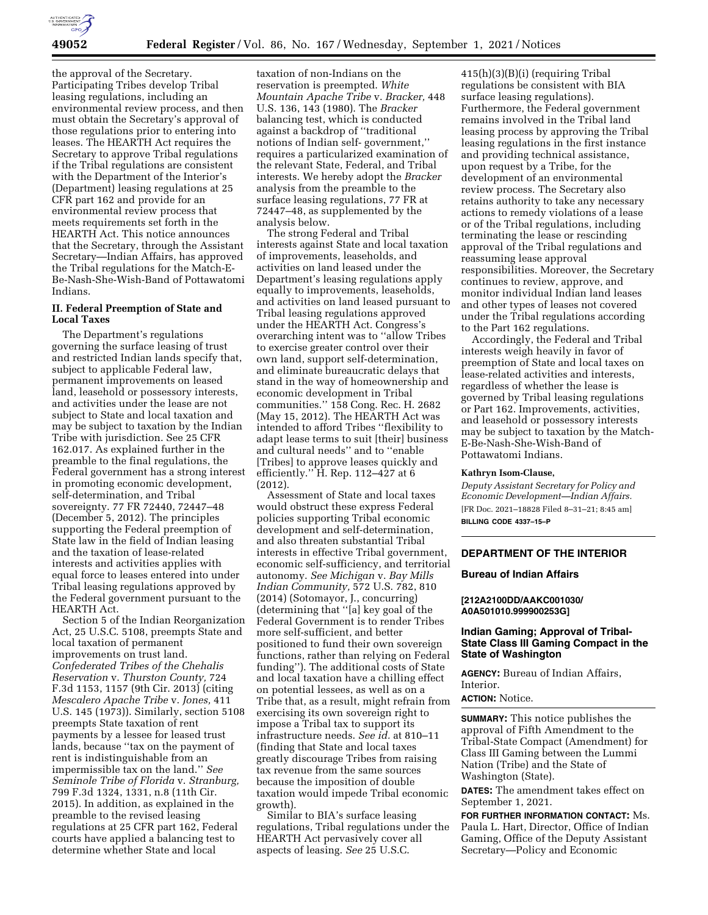

the approval of the Secretary. Participating Tribes develop Tribal leasing regulations, including an environmental review process, and then must obtain the Secretary's approval of those regulations prior to entering into leases. The HEARTH Act requires the Secretary to approve Tribal regulations if the Tribal regulations are consistent with the Department of the Interior's (Department) leasing regulations at 25 CFR part 162 and provide for an environmental review process that meets requirements set forth in the HEARTH Act. This notice announces that the Secretary, through the Assistant Secretary—Indian Affairs, has approved the Tribal regulations for the Match-E-Be-Nash-She-Wish-Band of Pottawatomi Indians.

### **II. Federal Preemption of State and Local Taxes**

The Department's regulations governing the surface leasing of trust and restricted Indian lands specify that, subject to applicable Federal law, permanent improvements on leased land, leasehold or possessory interests, and activities under the lease are not subject to State and local taxation and may be subject to taxation by the Indian Tribe with jurisdiction. See 25 CFR 162.017. As explained further in the preamble to the final regulations, the Federal government has a strong interest in promoting economic development, self-determination, and Tribal sovereignty. 77 FR 72440, 72447–48 (December 5, 2012). The principles supporting the Federal preemption of State law in the field of Indian leasing and the taxation of lease-related interests and activities applies with equal force to leases entered into under Tribal leasing regulations approved by the Federal government pursuant to the HEARTH Act.

Section 5 of the Indian Reorganization Act, 25 U.S.C. 5108, preempts State and local taxation of permanent improvements on trust land. *Confederated Tribes of the Chehalis Reservation* v. *Thurston County,* 724 F.3d 1153, 1157 (9th Cir. 2013) (citing *Mescalero Apache Tribe* v. *Jones,* 411 U.S. 145 (1973)). Similarly, section 5108 preempts State taxation of rent payments by a lessee for leased trust lands, because ''tax on the payment of rent is indistinguishable from an impermissible tax on the land.'' *See Seminole Tribe of Florida* v. *Stranburg,*  799 F.3d 1324, 1331, n.8 (11th Cir. 2015). In addition, as explained in the preamble to the revised leasing regulations at 25 CFR part 162, Federal courts have applied a balancing test to determine whether State and local

taxation of non-Indians on the reservation is preempted. *White Mountain Apache Tribe* v. *Bracker,* 448 U.S. 136, 143 (1980). The *Bracker*  balancing test, which is conducted against a backdrop of ''traditional notions of Indian self- government,'' requires a particularized examination of the relevant State, Federal, and Tribal interests. We hereby adopt the *Bracker*  analysis from the preamble to the surface leasing regulations, 77 FR at 72447–48, as supplemented by the analysis below.

The strong Federal and Tribal interests against State and local taxation of improvements, leaseholds, and activities on land leased under the Department's leasing regulations apply equally to improvements, leaseholds, and activities on land leased pursuant to Tribal leasing regulations approved under the HEARTH Act. Congress's overarching intent was to ''allow Tribes to exercise greater control over their own land, support self-determination, and eliminate bureaucratic delays that stand in the way of homeownership and economic development in Tribal communities.'' 158 Cong. Rec. H. 2682 (May 15, 2012). The HEARTH Act was intended to afford Tribes ''flexibility to adapt lease terms to suit [their] business and cultural needs'' and to ''enable [Tribes] to approve leases quickly and efficiently."  $\hat{H}$ . Rep. 112–427 at 6 (2012).

Assessment of State and local taxes would obstruct these express Federal policies supporting Tribal economic development and self-determination, and also threaten substantial Tribal interests in effective Tribal government, economic self-sufficiency, and territorial autonomy. *See Michigan* v. *Bay Mills Indian Community,* 572 U.S. 782, 810 (2014) (Sotomayor, J., concurring) (determining that ''[a] key goal of the Federal Government is to render Tribes more self-sufficient, and better positioned to fund their own sovereign functions, rather than relying on Federal funding''). The additional costs of State and local taxation have a chilling effect on potential lessees, as well as on a Tribe that, as a result, might refrain from exercising its own sovereign right to impose a Tribal tax to support its infrastructure needs. *See id.* at 810–11 (finding that State and local taxes greatly discourage Tribes from raising tax revenue from the same sources because the imposition of double taxation would impede Tribal economic growth).

Similar to BIA's surface leasing regulations, Tribal regulations under the HEARTH Act pervasively cover all aspects of leasing. *See* 25 U.S.C.

415(h)(3)(B)(i) (requiring Tribal regulations be consistent with BIA surface leasing regulations). Furthermore, the Federal government remains involved in the Tribal land leasing process by approving the Tribal leasing regulations in the first instance and providing technical assistance, upon request by a Tribe, for the development of an environmental review process. The Secretary also retains authority to take any necessary actions to remedy violations of a lease or of the Tribal regulations, including terminating the lease or rescinding approval of the Tribal regulations and reassuming lease approval responsibilities. Moreover, the Secretary continues to review, approve, and monitor individual Indian land leases and other types of leases not covered under the Tribal regulations according to the Part 162 regulations.

Accordingly, the Federal and Tribal interests weigh heavily in favor of preemption of State and local taxes on lease-related activities and interests, regardless of whether the lease is governed by Tribal leasing regulations or Part 162. Improvements, activities, and leasehold or possessory interests may be subject to taxation by the Match-E-Be-Nash-She-Wish-Band of Pottawatomi Indians.

#### **Kathryn Isom-Clause,**

*Deputy Assistant Secretary for Policy and Economic Development—Indian Affairs.*  [FR Doc. 2021–18828 Filed 8–31–21; 8:45 am] **BILLING CODE 4337–15–P** 

## **DEPARTMENT OF THE INTERIOR**

#### **Bureau of Indian Affairs**

### **[212A2100DD/AAKC001030/ A0A501010.999900253G]**

## **Indian Gaming; Approval of Tribal-State Class III Gaming Compact in the State of Washington**

**AGENCY:** Bureau of Indian Affairs, **Interior** 

#### **ACTION:** Notice.

**SUMMARY:** This notice publishes the approval of Fifth Amendment to the Tribal-State Compact (Amendment) for Class III Gaming between the Lummi Nation (Tribe) and the State of Washington (State).

**DATES:** The amendment takes effect on September 1, 2021.

**FOR FURTHER INFORMATION CONTACT:** Ms. Paula L. Hart, Director, Office of Indian Gaming, Office of the Deputy Assistant Secretary—Policy and Economic